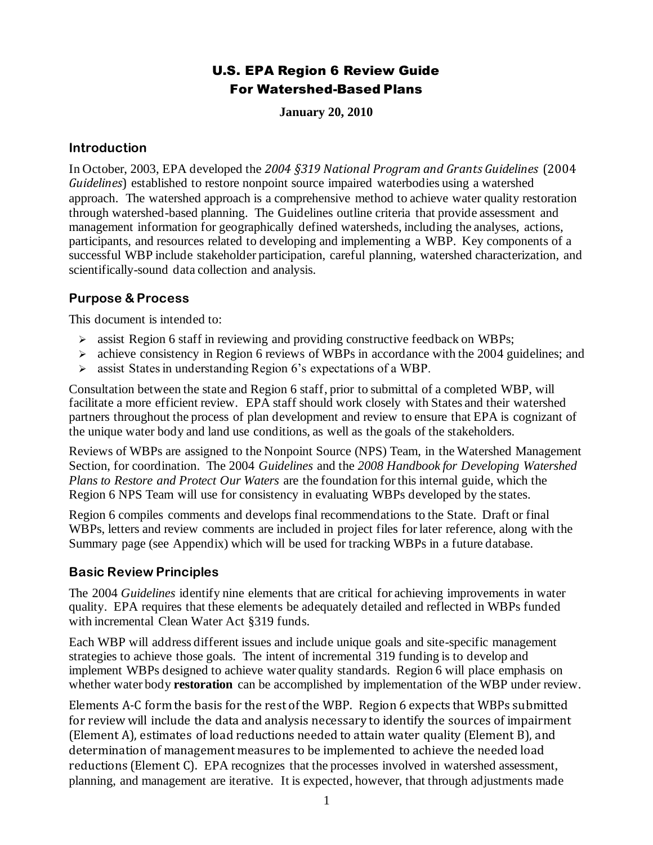# U.S. EPA Region 6 Review Guide For Watershed-Based Plans

**January 20, 2010**

### **Introduction**

In October, 2003, EPA developed the *2004 §319 National Program and Grants Guidelines* (2004 *Guidelines*) established to restore nonpoint source impaired waterbodies using a watershed approach. The watershed approach is a comprehensive method to achieve water quality restoration through watershed-based planning. The Guidelines outline criteria that provide assessment and management information for geographically defined watersheds, including the analyses, actions, participants, and resources related to developing and implementing a WBP. Key components of a successful WBP include stakeholder participation, careful planning, watershed characterization, and scientifically-sound data collection and analysis.

# **Purpose & Process**

This document is intended to:

- ➢ assist Region 6 staff in reviewing and providing constructive feedback on WBPs;
- $\geq$  achieve consistency in Region 6 reviews of WBPs in accordance with the 2004 guidelines; and
- $\geq$  assist States in understanding Region 6's expectations of a WBP.

Consultation between the state and Region 6 staff, prior to submittal of a completed WBP, will facilitate a more efficient review. EPA staff should work closely with States and their watershed partners throughout the process of plan development and review to ensure that EPA is cognizant of the unique water body and land use conditions, as well as the goals of the stakeholders.

Reviews of WBPs are assigned to the Nonpoint Source (NPS) Team, in the Watershed Management Section, for coordination. The 2004 *Guidelines* and the *2008 Handbook for Developing Watershed Plans to Restore and Protect Our Waters* are the foundation for this internal guide, which the Region 6 NPS Team will use for consistency in evaluating WBPs developed by the states.

Region 6 compiles comments and develops final recommendations to the State. Draft or final WBPs, letters and review comments are included in project files for later reference, along with the Summary page (see Appendix) which will be used for tracking WBPs in a future database.

## **Basic Review Principles**

The 2004 *Guidelines* identify nine elements that are critical for achieving improvements in water quality. EPA requires that these elements be adequately detailed and reflected in WBPs funded with incremental Clean Water Act §319 funds.

Each WBP will address different issues and include unique goals and site-specific management strategies to achieve those goals. The intent of incremental 319 funding is to develop and implement WBPs designed to achieve water quality standards. Region 6 will place emphasis on whether water body **restoration** can be accomplished by implementation of the WBP under review.

Elements A-C form the basis for the rest of the WBP. Region 6 expects that WBPs submitted for review will include the data and analysis necessary to identify the sources of impairment (Element A), estimates of load reductions needed to attain water quality (Element B), and determination of management measures to be implemented to achieve the needed load reductions (Element C). EPA recognizes that the processes involved in watershed assessment, planning, and management are iterative. It is expected, however, that through adjustments made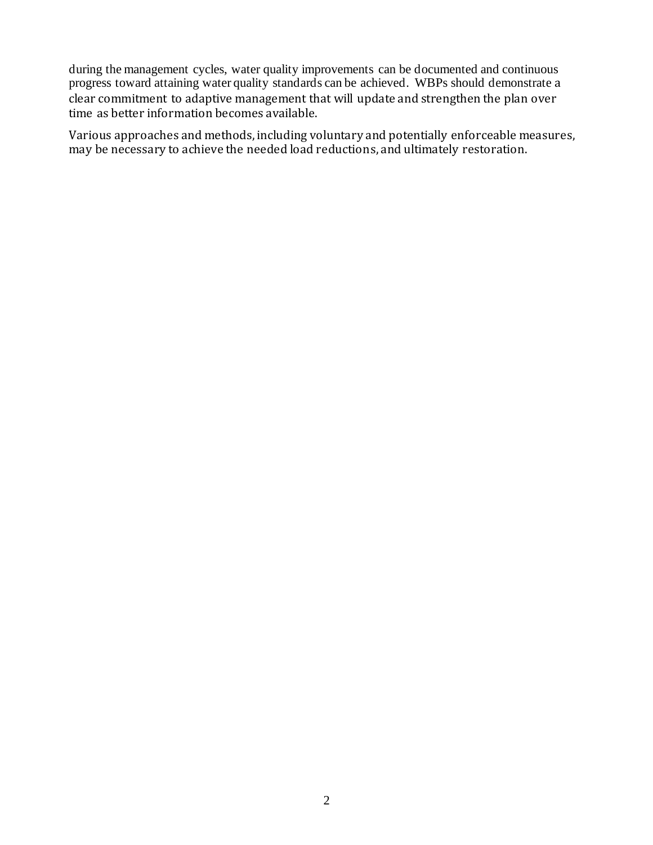during the management cycles, water quality improvements can be documented and continuous progress toward attaining water quality standards can be achieved. WBPs should demonstrate a clear commitment to adaptive management that will update and strengthen the plan over time as better information becomes available.

Various approaches and methods, including voluntary and potentially enforceable measures, may be necessary to achieve the needed load reductions, and ultimately restoration.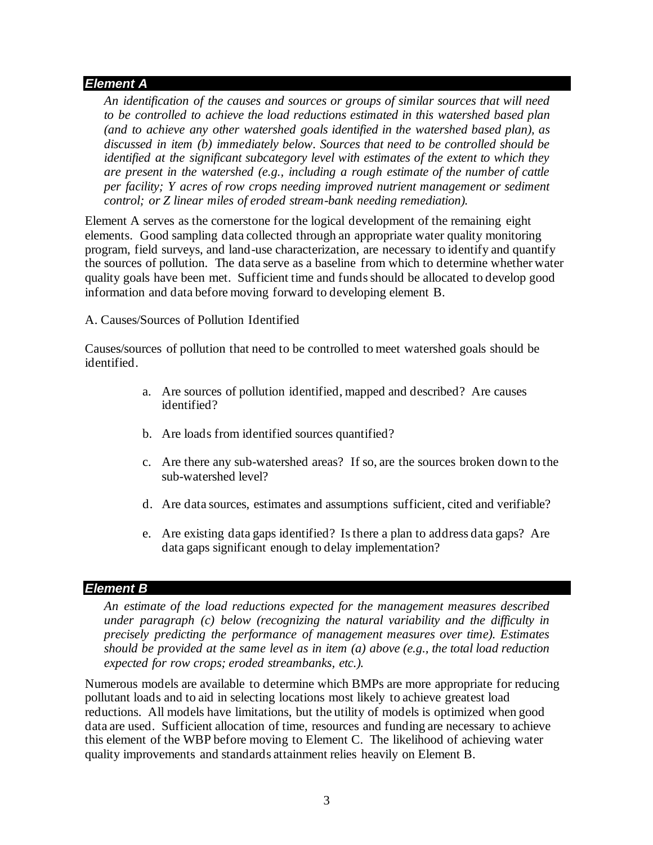### *Element A*

*An identification of the causes and sources or groups of similar sources that will need to be controlled to achieve the load reductions estimated in this watershed based plan (and to achieve any other watershed goals identified in the watershed based plan), as discussed in item (b) immediately below. Sources that need to be controlled should be identified at the significant subcategory level with estimates of the extent to which they are present in the watershed (e.g., including a rough estimate of the number of cattle per facility; Y acres of row crops needing improved nutrient management or sediment control; or Z linear miles of eroded stream-bank needing remediation).*

Element A serves as the cornerstone for the logical development of the remaining eight elements. Good sampling data collected through an appropriate water quality monitoring program, field surveys, and land-use characterization, are necessary to identify and quantify the sources of pollution. The data serve as a baseline from which to determine whether water quality goals have been met. Sufficient time and funds should be allocated to develop good information and data before moving forward to developing element B.

A. Causes/Sources of Pollution Identified

Causes/sources of pollution that need to be controlled to meet watershed goals should be identified.

- a. Are sources of pollution identified, mapped and described? Are causes identified?
- b. Are loads from identified sources quantified?
- c. Are there any sub-watershed areas? If so, are the sources broken down to the sub-watershed level?
- d. Are data sources, estimates and assumptions sufficient, cited and verifiable?
- e. Are existing data gaps identified? Is there a plan to address data gaps? Are data gaps significant enough to delay implementation?

## *Element B*

*An estimate of the load reductions expected for the management measures described under paragraph (c) below (recognizing the natural variability and the difficulty in precisely predicting the performance of management measures over time). Estimates should be provided at the same level as in item (a) above (e.g., the total load reduction expected for row crops; eroded streambanks, etc.).*

Numerous models are available to determine which BMPs are more appropriate for reducing pollutant loads and to aid in selecting locations most likely to achieve greatest load reductions. All models have limitations, but the utility of models is optimized when good data are used. Sufficient allocation of time, resources and funding are necessary to achieve this element of the WBP before moving to Element C. The likelihood of achieving water quality improvements and standards attainment relies heavily on Element B.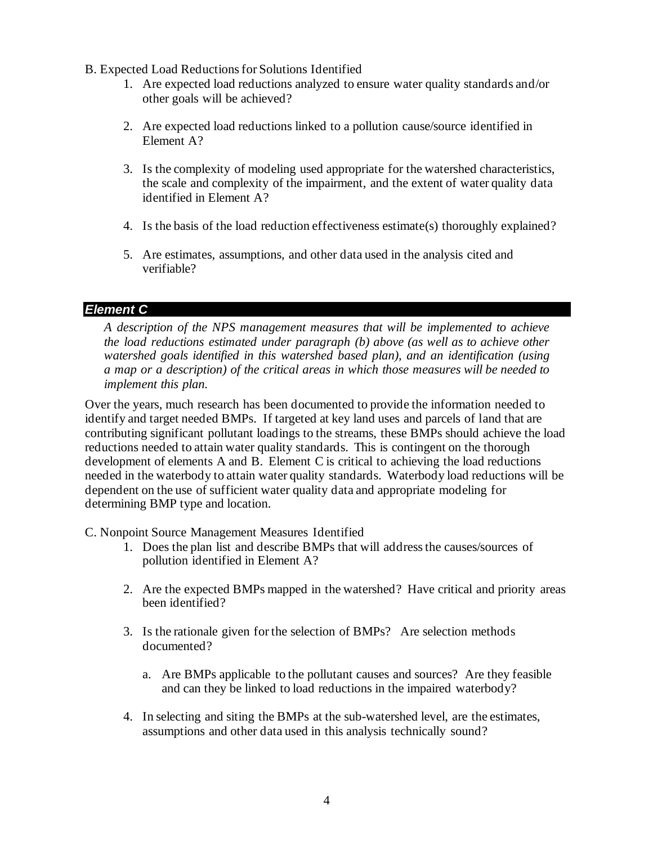- B. Expected Load Reductions for Solutions Identified
	- 1. Are expected load reductions analyzed to ensure water quality standards and/or other goals will be achieved?
	- 2. Are expected load reductions linked to a pollution cause/source identified in Element A?
	- 3. Is the complexity of modeling used appropriate for the watershed characteristics, the scale and complexity of the impairment, and the extent of water quality data identified in Element A?
	- 4. Is the basis of the load reduction effectiveness estimate(s) thoroughly explained?
	- 5. Are estimates, assumptions, and other data used in the analysis cited and verifiable?

## *Element C*

*A description of the NPS management measures that will be implemented to achieve the load reductions estimated under paragraph (b) above (as well as to achieve other watershed goals identified in this watershed based plan), and an identification (using a map or a description) of the critical areas in which those measures will be needed to implement this plan.*

Over the years, much research has been documented to provide the information needed to identify and target needed BMPs. If targeted at key land uses and parcels of land that are contributing significant pollutant loadings to the streams, these BMPs should achieve the load reductions needed to attain water quality standards. This is contingent on the thorough development of elements A and B. Element C is critical to achieving the load reductions needed in the waterbody to attain water quality standards. Waterbody load reductions will be dependent on the use of sufficient water quality data and appropriate modeling for determining BMP type and location.

C. Nonpoint Source Management Measures Identified

- 1. Does the plan list and describe BMPs that will address the causes/sources of pollution identified in Element A?
- 2. Are the expected BMPs mapped in the watershed? Have critical and priority areas been identified?
- 3. Is the rationale given for the selection of BMPs? Are selection methods documented?
	- a. Are BMPs applicable to the pollutant causes and sources? Are they feasible and can they be linked to load reductions in the impaired waterbody?
- 4. In selecting and siting the BMPs at the sub-watershed level, are the estimates, assumptions and other data used in this analysis technically sound?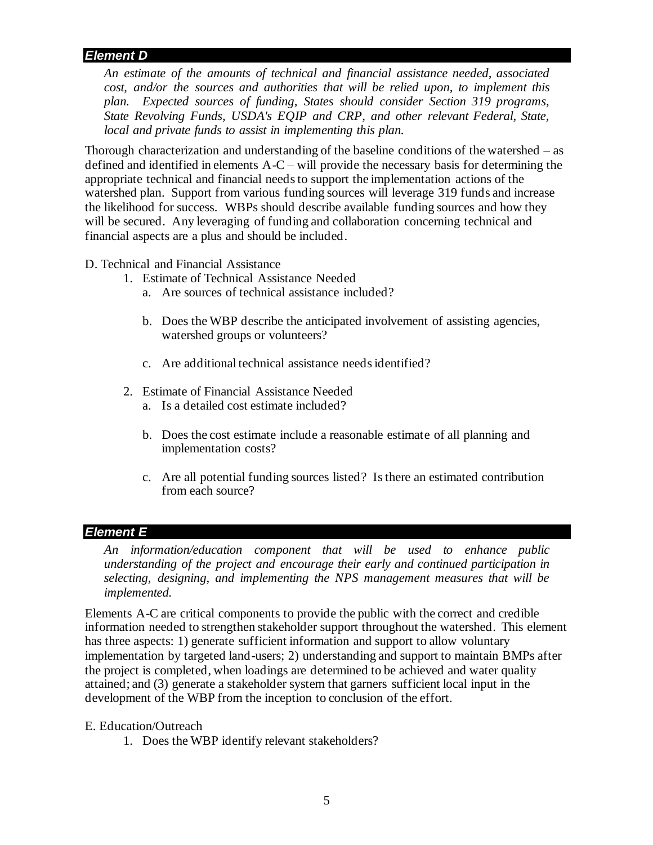## *Element D*

*An estimate of the amounts of technical and financial assistance needed, associated cost, and/or the sources and authorities that will be relied upon, to implement this plan. Expected sources of funding, States should consider Section 319 programs, State Revolving Funds, USDA's EQIP and CRP, and other relevant Federal, State, local and private funds to assist in implementing this plan.*

Thorough characterization and understanding of the baseline conditions of the watershed – as defined and identified in elements A-C – will provide the necessary basis for determining the appropriate technical and financial needs to support the implementation actions of the watershed plan. Support from various funding sources will leverage 319 funds and increase the likelihood for success. WBPs should describe available funding sources and how they will be secured. Any leveraging of funding and collaboration concerning technical and financial aspects are a plus and should be included.

D. Technical and Financial Assistance

- 1. Estimate of Technical Assistance Needed
	- a. Are sources of technical assistance included?
	- b. Does the WBP describe the anticipated involvement of assisting agencies, watershed groups or volunteers?
	- c. Are additional technical assistance needs identified?
- 2. Estimate of Financial Assistance Needed
	- a. Is a detailed cost estimate included?
	- b. Does the cost estimate include a reasonable estimate of all planning and implementation costs?
	- c. Are all potential funding sources listed? Is there an estimated contribution from each source?

### *Element E*

*An information/education component that will be used to enhance public understanding of the project and encourage their early and continued participation in selecting, designing, and implementing the NPS management measures that will be implemented.*

Elements A-C are critical components to provide the public with the correct and credible information needed to strengthen stakeholder support throughout the watershed. This element has three aspects: 1) generate sufficient information and support to allow voluntary implementation by targeted land-users; 2) understanding and support to maintain BMPs after the project is completed, when loadings are determined to be achieved and water quality attained; and (3) generate a stakeholder system that garners sufficient local input in the development of the WBP from the inception to conclusion of the effort.

#### E. Education/Outreach

1. Does the WBP identify relevant stakeholders?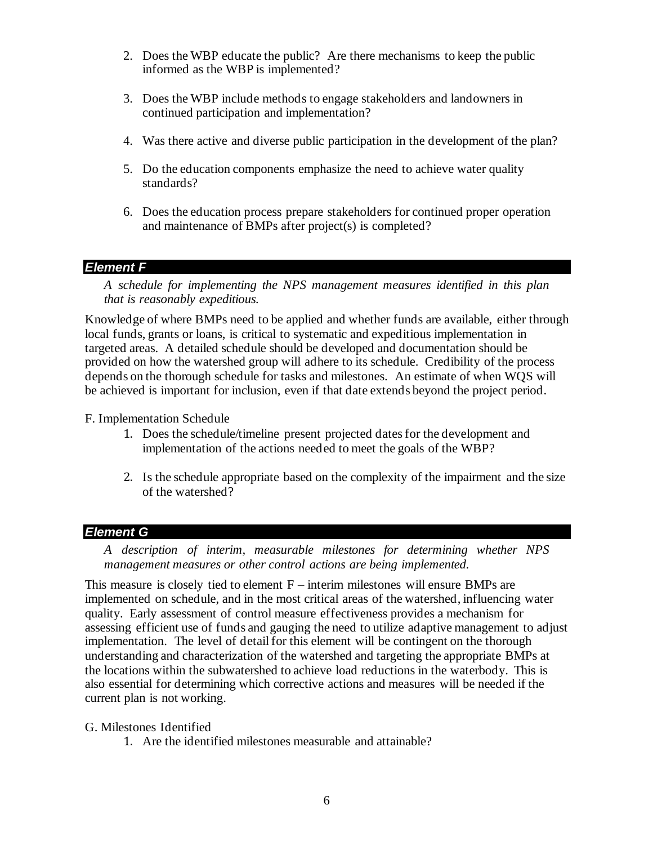- 2. Does the WBP educate the public? Are there mechanisms to keep the public informed as the WBP is implemented?
- 3. Does the WBP include methods to engage stakeholders and landowners in continued participation and implementation?
- 4. Was there active and diverse public participation in the development of the plan?
- 5. Do the education components emphasize the need to achieve water quality standards?
- 6. Does the education process prepare stakeholders for continued proper operation and maintenance of BMPs after project(s) is completed?

### *Element F*

*A schedule for implementing the NPS management measures identified in this plan that is reasonably expeditious.*

Knowledge of where BMPs need to be applied and whether funds are available, either through local funds, grants or loans, is critical to systematic and expeditious implementation in targeted areas. A detailed schedule should be developed and documentation should be provided on how the watershed group will adhere to its schedule. Credibility of the process depends on the thorough schedule for tasks and milestones. An estimate of when WQS will be achieved is important for inclusion, even if that date extends beyond the project period.

F. Implementation Schedule

- 1. Does the schedule/timeline present projected dates for the development and implementation of the actions needed to meet the goals of the WBP?
- 2. Is the schedule appropriate based on the complexity of the impairment and the size of the watershed?

## *Element G*

*A description of interim, measurable milestones for determining whether NPS management measures or other control actions are being implemented.*

This measure is closely tied to element  $F$  – interim milestones will ensure BMPs are implemented on schedule, and in the most critical areas of the watershed, influencing water quality. Early assessment of control measure effectiveness provides a mechanism for assessing efficient use of funds and gauging the need to utilize adaptive management to adjust implementation. The level of detail for this element will be contingent on the thorough understanding and characterization of the watershed and targeting the appropriate BMPs at the locations within the subwatershed to achieve load reductions in the waterbody. This is also essential for determining which corrective actions and measures will be needed if the current plan is not working.

### G. Milestones Identified

1. Are the identified milestones measurable and attainable?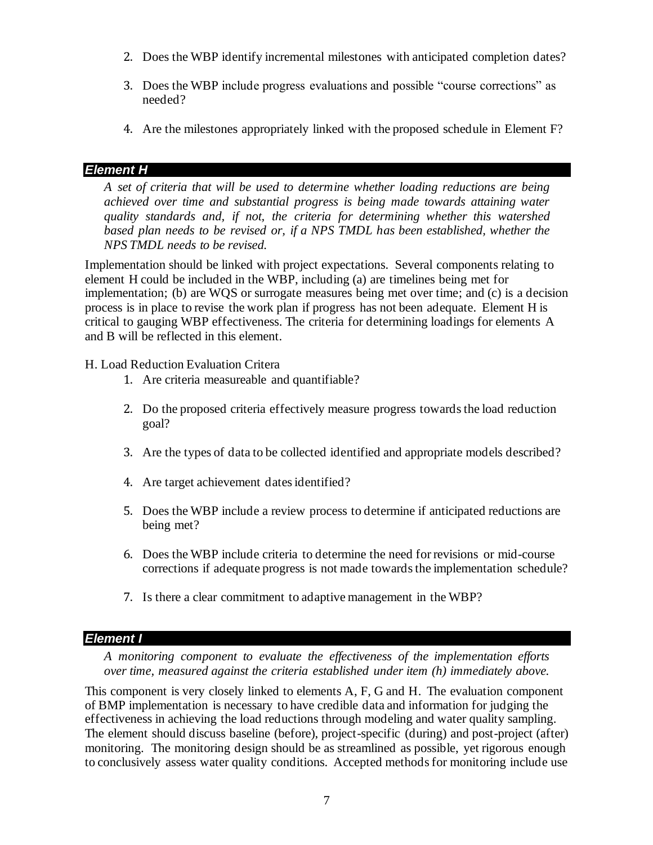- 2. Does the WBP identify incremental milestones with anticipated completion dates?
- 3. Does the WBP include progress evaluations and possible "course corrections" as needed?
- 4. Are the milestones appropriately linked with the proposed schedule in Element F?

# *Element H*

*A set of criteria that will be used to determine whether loading reductions are being achieved over time and substantial progress is being made towards attaining water quality standards and, if not, the criteria for determining whether this watershed based plan needs to be revised or, if a NPS TMDL has been established, whether the NPS TMDL needs to be revised.*

Implementation should be linked with project expectations. Several components relating to element H could be included in the WBP, including (a) are timelines being met for implementation; (b) are WQS or surrogate measures being met over time; and (c) is a decision process is in place to revise the work plan if progress has not been adequate. Element H is critical to gauging WBP effectiveness. The criteria for determining loadings for elements A and B will be reflected in this element.

H. Load Reduction Evaluation Critera

- 1. Are criteria measureable and quantifiable?
- 2. Do the proposed criteria effectively measure progress towards the load reduction goal?
- 3. Are the types of data to be collected identified and appropriate models described?
- 4. Are target achievement dates identified?
- 5. Does the WBP include a review process to determine if anticipated reductions are being met?
- 6. Does the WBP include criteria to determine the need for revisions or mid-course corrections if adequate progress is not made towards the implementation schedule?
- 7. Is there a clear commitment to adaptive management in the WBP?

# *Element I*

*A monitoring component to evaluate the effectiveness of the implementation efforts over time, measured against the criteria established under item (h) immediately above.*

This component is very closely linked to elements A, F, G and H. The evaluation component of BMP implementation is necessary to have credible data and information for judging the effectiveness in achieving the load reductions through modeling and water quality sampling. The element should discuss baseline (before), project-specific (during) and post-project (after) monitoring. The monitoring design should be as streamlined as possible, yet rigorous enough to conclusively assess water quality conditions. Accepted methods for monitoring include use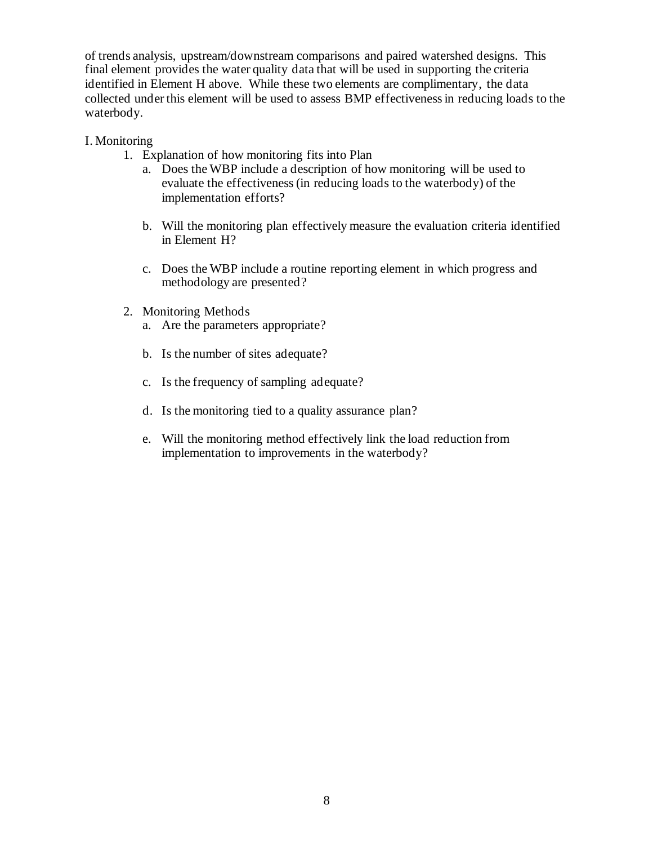of trends analysis, upstream/downstream comparisons and paired watershed designs. This final element provides the water quality data that will be used in supporting the criteria identified in Element H above. While these two elements are complimentary, the data collected under this element will be used to assess BMP effectiveness in reducing loads to the waterbody.

### I. Monitoring

- 1. Explanation of how monitoring fits into Plan
	- a. Does the WBP include a description of how monitoring will be used to evaluate the effectiveness (in reducing loads to the waterbody) of the implementation efforts?
	- b. Will the monitoring plan effectively measure the evaluation criteria identified in Element H?
	- c. Does the WBP include a routine reporting element in which progress and methodology are presented?
- 2. Monitoring Methods
	- a. Are the parameters appropriate?
	- b. Is the number of sites adequate?
	- c. Is the frequency of sampling adequate?
	- d. Is the monitoring tied to a quality assurance plan?
	- e. Will the monitoring method effectively link the load reduction from implementation to improvements in the waterbody?